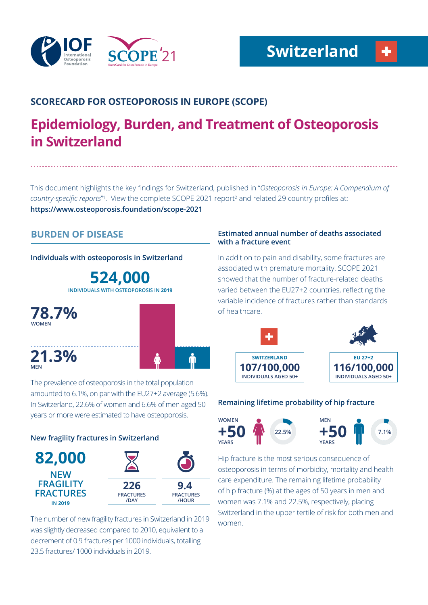

# **SCORECARD FOR OSTEOPOROSIS IN EUROPE (SCOPE)**

# **Epidemiology, Burden, and Treatment of Osteoporosis in Switzerland**

This document highlights the key findings for Switzerland, published in "*Osteoporosis in Europe: A Compendium of*  country-specific reports<sup>"</sup>. View the complete SCOPE 2021 report<sup>2</sup> and related 29 country profiles at: **https://www.osteoporosis.foundation/scope-2021**

# **BURDEN OF DISEASE**

**Individuals with osteoporosis in Switzerland**

**524,000 INDIVIDUALS WITH OSTEOPOROSIS IN 2019**



The prevalence of osteoporosis in the total population amounted to 6.1%, on par with the EU27+2 average (5.6%). In Switzerland, 22.6% of women and 6.6% of men aged 50 years or more were estimated to have osteoporosis.

# **New fragility fractures in Switzerland**



The number of new fragility fractures in Switzerland in 2019 was slightly decreased compared to 2010, equivalent to a decrement of 0.9 fractures per 1000 individuals, totalling 23.5 fractures/ 1000 individuals in 2019.

# **Estimated annual number of deaths associated with a fracture event**

In addition to pain and disability, some fractures are associated with premature mortality. SCOPE 2021 showed that the number of fracture-related deaths varied between the EU27+2 countries, reflecting the variable incidence of fractures rather than standards of healthcare.



## **Remaining lifetime probability of hip fracture**



Hip fracture is the most serious consequence of osteoporosis in terms of morbidity, mortality and health care expenditure. The remaining lifetime probability of hip fracture (%) at the ages of 50 years in men and women was 7.1% and 22.5%, respectively, placing Switzerland in the upper tertile of risk for both men and women.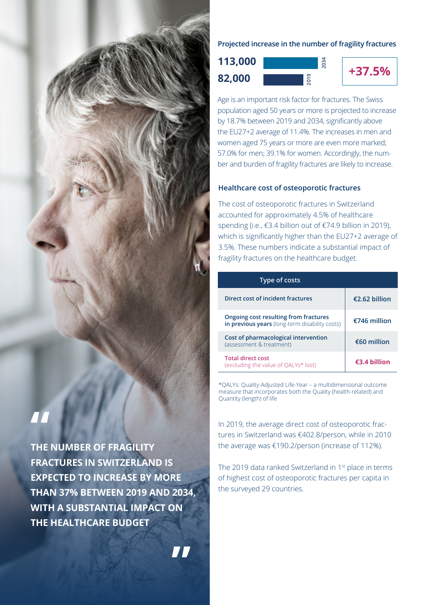

**THE NUMBER OF FRAGILITY FRACTURES IN SWITZERLAND IS EXPECTED TO INCREASE BY MORE THAN 37% BETWEEN 2019 AND 2034, WITH A SUBSTANTIAL IMPACT ON THE HEALTHCARE BUDGET**

**"**

# **Projected increase in the number of fragility fractures**

**+37.5% 82,000 113,000**



Age is an important risk factor for fractures. The Swiss population aged 50 years or more is projected to increase by 18.7% between 2019 and 2034, significantly above the EU27+2 average of 11.4%. The increases in men and women aged 75 years or more are even more marked; 57.0% for men; 39.1% for women. Accordingly, the number and burden of fragility fractures are likely to increase.

# **Healthcare cost of osteoporotic fractures**

The cost of osteoporotic fractures in Switzerland accounted for approximately 4.5% of healthcare spending (i.e., €3.4 billion out of €74.9 billion in 2019), which is significantly higher than the EU27+2 average of 3.5%. These numbers indicate a substantial impact of fragility fractures on the healthcare budget.

| Type of costs                                                                           |               |
|-----------------------------------------------------------------------------------------|---------------|
| Direct cost of incident fractures                                                       | €2.62 billion |
| Ongoing cost resulting from fractures<br>in previous years (long-term disability costs) | €746 million  |
| Cost of pharmacological intervention<br>(assessment & treatment)                        | $€60$ million |
| <b>Total direct cost</b><br>(excluding the value of QALYs* lost)                        | €3.4 billion  |

\*QALYs: Quality-Adjusted Life-Year – a multidimensional outcome measure that incorporates both the Quality (health-related) and Quantity (length) of life

In 2019, the average direct cost of osteoporotic fractures in Switzerland was €402.8/person, while in 2010 the average was €190.2/person (increase of 112%).

The 2019 data ranked Switzerland in 1st place in terms of highest cost of osteoporotic fractures per capita in the surveyed 29 countries.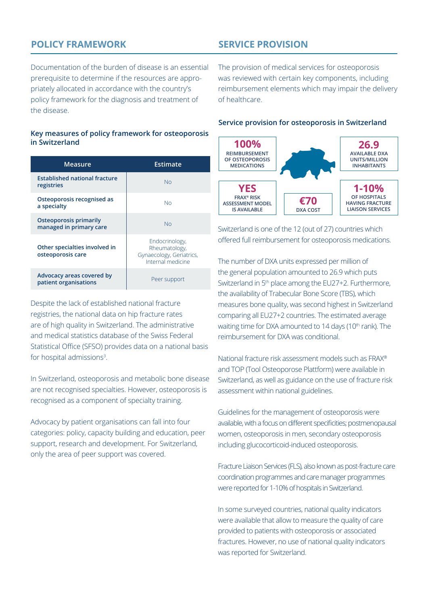# **POLICY FRAMEWORK**

# **SERVICE PROVISION**

Documentation of the burden of disease is an essential prerequisite to determine if the resources are appropriately allocated in accordance with the country's policy framework for the diagnosis and treatment of the disease.

#### **Key measures of policy framework for osteoporosis in Switzerland**

| Measure                                                  | Estimate                                                                         |
|----------------------------------------------------------|----------------------------------------------------------------------------------|
| <b>Established national fracture</b><br>registries       | <b>No</b>                                                                        |
| Osteoporosis recognised as<br>a specialty                | Nο                                                                               |
| <b>Osteoporosis primarily</b><br>managed in primary care | <b>No</b>                                                                        |
| Other specialties involved in<br>osteoporosis care       | Endocrinology,<br>Rheumatology,<br>Gynaecology, Geriatrics,<br>Internal medicine |
| Advocacy areas covered by<br>patient organisations       | Peer support                                                                     |

Despite the lack of established national fracture registries, the national data on hip fracture rates are of high quality in Switzerland. The administrative and medical statistics database of the Swiss Federal Statistical Office (SFSO) provides data on a national basis for hospital admissions<sup>3</sup>.

In Switzerland, osteoporosis and metabolic bone disease are not recognised specialties. However, osteoporosis is recognised as a component of specialty training.

Advocacy by patient organisations can fall into four categories: policy, capacity building and education, peer support, research and development. For Switzerland, only the area of peer support was covered.

The provision of medical services for osteoporosis was reviewed with certain key components, including reimbursement elements which may impair the delivery of healthcare.

#### **Service provision for osteoporosis in Switzerland**



Switzerland is one of the 12 (out of 27) countries which offered full reimbursement for osteoporosis medications.

The number of DXA units expressed per million of the general population amounted to 26.9 which puts Switzerland in 5th place among the EU27+2. Furthermore, the availability of Trabecular Bone Score (TBS), which measures bone quality, was second highest in Switzerland comparing all EU27+2 countries. The estimated average waiting time for DXA amounted to 14 days (10<sup>th</sup> rank). The reimbursement for DXA was conditional.

National fracture risk assessment models such as FRAX® and TOP (Tool Osteoporose Plattform) were available in Switzerland, as well as guidance on the use of fracture risk assessment within national guidelines.

Guidelines for the management of osteoporosis were available, with a focus on different specificities; postmenopausal women, osteoporosis in men, secondary osteoporosis including glucocorticoid-induced osteoporosis.

Fracture Liaison Services (FLS), also known as post-fracture care coordination programmes and care manager programmes were reported for 1-10% of hospitals in Switzerland.

In some surveyed countries, national quality indicators were available that allow to measure the quality of care provided to patients with osteoporosis or associated fractures. However, no use of national quality indicators was reported for Switzerland.